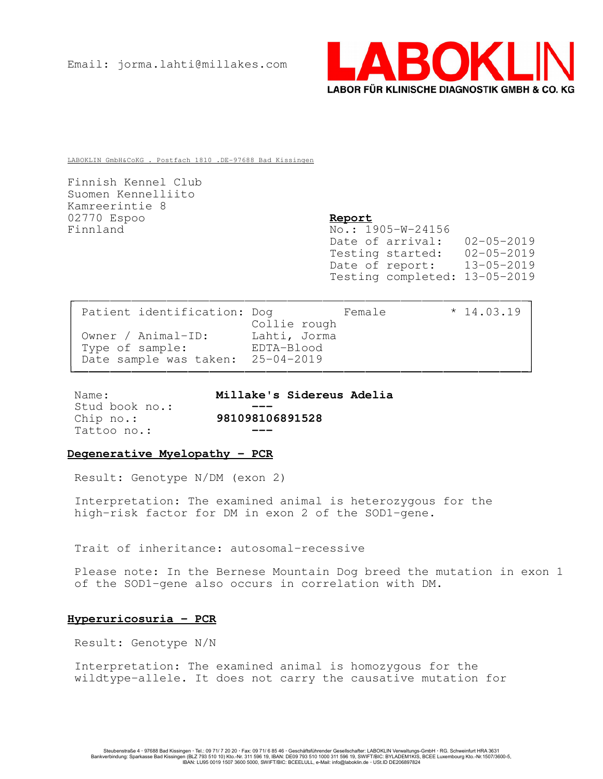

LABOKLIN GmbH&CoKG . Postfach 1810 .DE-97688 Bad Kissingen

Finnish Kennel Club Suomen Kennelliito Kamreerintie 8 02770 Espoo Report Finnland No.: 1905-W-24156

Date of arrival: 02-05-2019<br>Testing started: 02-05-2019 Testing started: Date of report: 13-05-2019 Testing completed: 13-05-2019

| Patient identification: Dog       |              | Female | $*14.03.19$ |  |
|-----------------------------------|--------------|--------|-------------|--|
|                                   | Collie rough |        |             |  |
| Owner / Animal-ID:                | Lahti, Jorma |        |             |  |
| Type of sample:                   | EDTA-Blood   |        |             |  |
| Date sample was taken: 25-04-2019 |              |        |             |  |
|                                   |              |        |             |  |

Stud book no.: Tattoo no.:

Name: Millake's Sidereus Adelia Chip no.: 981098106891528

# Degenerative Myelopathy - PCR

Result: Genotype N/DM (exon 2)

Interpretation: The examined animal is heterozygous for the high-risk factor for DM in exon 2 of the SOD1-gene.

Trait of inheritance: autosomal-recessive

Please note: In the Bernese Mountain Dog breed the mutation in exon 1 of the SOD1-gene also occurs in correlation with DM.

# Hyperuricosuria - PCR

Result: Genotype N/N

Interpretation: The examined animal is homozygous for the wildtype-allele. It does not carry the causative mutation for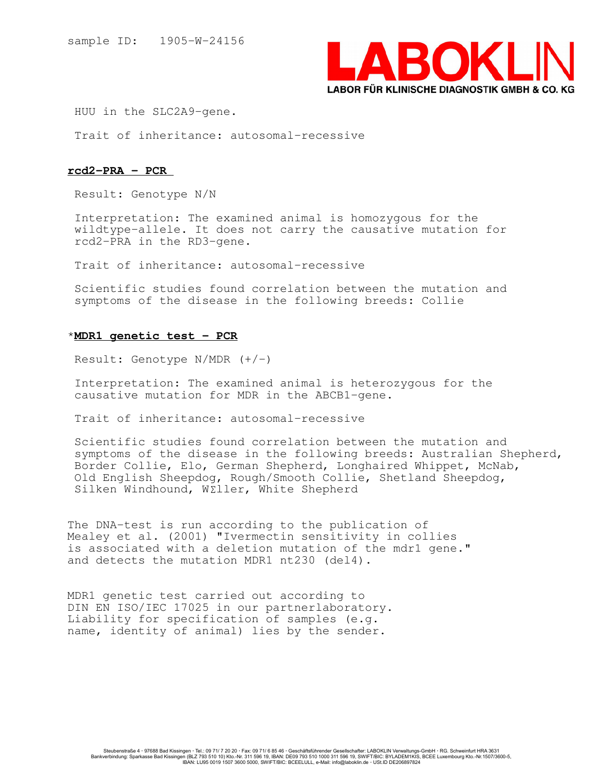

HUU in the SLC2A9-gene.

Trait of inheritance: autosomal-recessive

## rcd2-PRA - PCR

Result: Genotype N/N

Interpretation: The examined animal is homozygous for the wildtype-allele. It does not carry the causative mutation for rcd2-PRA in the RD3-gene.

Trait of inheritance: autosomal-recessive

Scientific studies found correlation between the mutation and symptoms of the disease in the following breeds: Collie

## \*MDR1 genetic test - PCR

Result: Genotype  $N/MDR$   $(+/-)$ 

Interpretation: The examined animal is heterozygous for the causative mutation for MDR in the ABCB1-gene.

Trait of inheritance: autosomal-recessive

Scientific studies found correlation between the mutation and symptoms of the disease in the following breeds: Australian Shepherd, Border Collie, Elo, German Shepherd, Longhaired Whippet, McNab, Old English Sheepdog, Rough/Smooth Collie, Shetland Sheepdog, Silken Windhound, W£ller, White Shepherd

The DNA-test is run according to the publication of Mealey et al. (2001) "Ivermectin sensitivity in collies is associated with a deletion mutation of the mdr1 gene." and detects the mutation MDR1 nt230 (del4).

MDR1 genetic test carried out according to DIN EN ISO/IEC 17025 in our partnerlaboratory. Liability for specification of samples (e.g. name, identity of animal) lies by the sender.